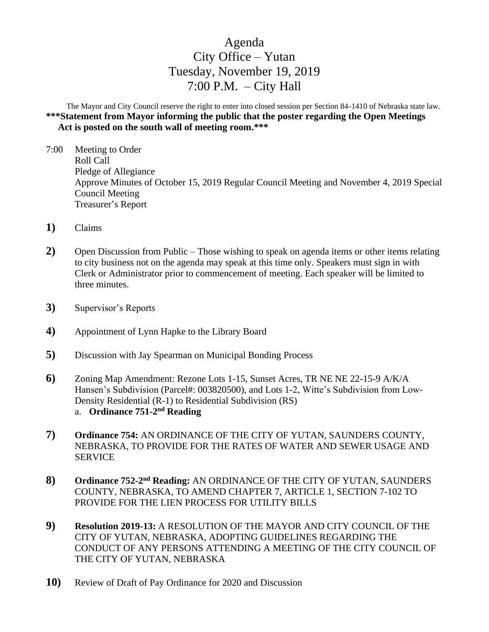# Agenda City Office – Yutan Tuesday, November 19, 2019 7:00 P.M.  $-$  City Hall

The Mayor and City Council reserve the right to enter into closed session per Section 84-1410 of Nebraska state law. **\*\*\*Statement from Mayor informing the public that the poster regarding the Open Meetings Act is posted on the south wall of meeting room.\*\*\***

- 7:00 Meeting to Order Roll Call Pledge of Allegiance Approve Minutes of October 15, 2019 Regular Council Meeting and November 4, 2019 Special Council Meeting Treasurer's Report
- **1)** Claims
- **2)** Open Discussion from Public Those wishing to speak on agenda items or other items relating to city business not on the agenda may speak at this time only. Speakers must sign in with Clerk or Administrator prior to commencement of meeting. Each speaker will be limited to three minutes.
- **3)** Supervisor's Reports
- **4)** Appointment of Lynn Hapke to the Library Board
- **5)** Discussion with Jay Spearman on Municipal Bonding Process
- **6)** Zoning Map Amendment: Rezone Lots 1-15, Sunset Acres, TR NE NE 22-15-9 A/K/A Hansen's Subdivision (Parcel#: 003820500), and Lots 1-2, Witte's Subdivision from Low-Density Residential (R-1) to Residential Subdivision (RS) a. Ordinance 751-2<sup>nd</sup> Reading
- **7) Ordinance 754:** AN ORDINANCE OF THE CITY OF YUTAN, SAUNDERS COUNTY, NEBRASKA, TO PROVIDE FOR THE RATES OF WATER AND SEWER USAGE AND SERVICE
- 8) Ordinance 752-2<sup>nd</sup> Reading: AN ORDINANCE OF THE CITY OF YUTAN, SAUNDERS COUNTY, NEBRASKA, TO AMEND CHAPTER 7, ARTICLE 1, SECTION 7-102 TO PROVIDE FOR THE LIEN PROCESS FOR UTILITY BILLS
- **9) Resolution 2019-13:** A RESOLUTION OF THE MAYOR AND CITY COUNCIL OF THE CITY OF YUTAN, NEBRASKA, ADOPTING GUIDELINES REGARDING THE CONDUCT OF ANY PERSONS ATTENDING A MEETING OF THE CITY COUNCIL OF THE CITY OF YUTAN, NEBRASKA
- **10)** Review of Draft of Pay Ordinance for 2020 and Discussion